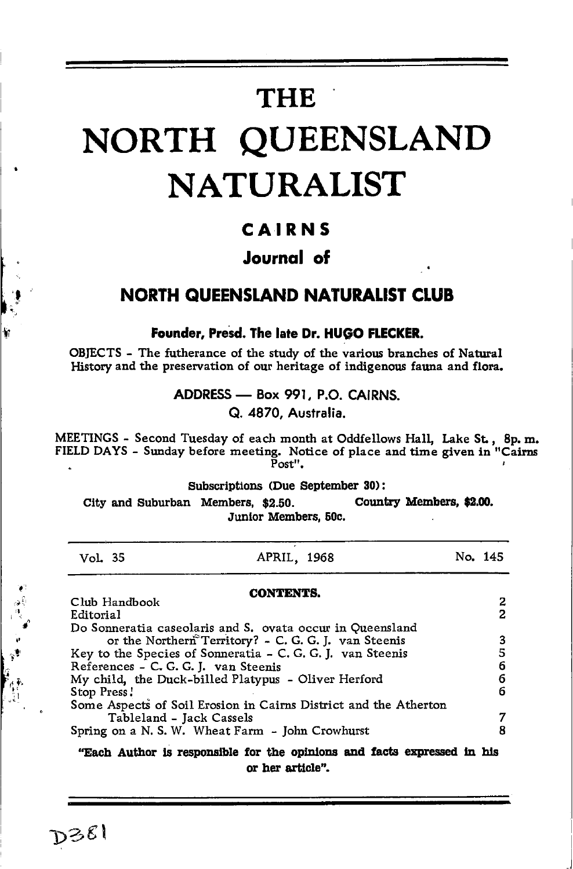## **THE**

# NORTH QUEENSLAND **NATURALIST**

### CAIRNS

### **Journal** of

### **NORTH QUEENSLAND NATURALIST CLUB**

Founder, Presd. The late Dr. HUGO FLECKER.

OBJECTS - The futherance of the study of the various branches of Natural History and the preservation of our heritage of indigenous fauna and flora.

ADDRESS - Box 991, P.O. CAIRNS.

Q. 4870. Australia.

MEETINGS - Second Tuesday of each month at Oddfellows Hall, Lake St., 8p. m. FIELD DAYS - Sunday before meeting. Notice of place and time given in "Cairns  $Post"$ .  $\overline{a}$ 

Subscriptions (Due September 30):

City and Suburban Members, \$2.50. Country Members, \$2.00. Junior Members, 50c.

| Vol. 35                                                    | APRIL, 1968                                                      |  | No. 145 |
|------------------------------------------------------------|------------------------------------------------------------------|--|---------|
|                                                            | <b>CONTENTS.</b>                                                 |  |         |
| Club Handbook<br>Editorial                                 |                                                                  |  | 2<br>2  |
|                                                            | Do Sonneratia caseolaris and S. ovata occur in Queensland        |  |         |
| or the Northern Territory? - C. G. G. J. van Steenis       |                                                                  |  | 3       |
| Key to the Species of Sonneratia - C. G. G. J. van Steenis |                                                                  |  | 5       |
| References - C. G. G. J. van Steenis                       |                                                                  |  | 6       |
| My child, the Duck-billed Platypus - Oliver Herford        |                                                                  |  | 6       |
| Stop Press!                                                |                                                                  |  | 6       |
|                                                            | Some Aspects of Soil Erosion in Cairns District and the Atherton |  |         |
| Tableland - Jack Cassels                                   |                                                                  |  | 7       |
|                                                            | Spring on a N. S. W. Wheat Farm - John Crowhurst                 |  |         |
|                                                            |                                                                  |  |         |

"Each Author is responsible for the opinions and facts expressed in his or her article".

D381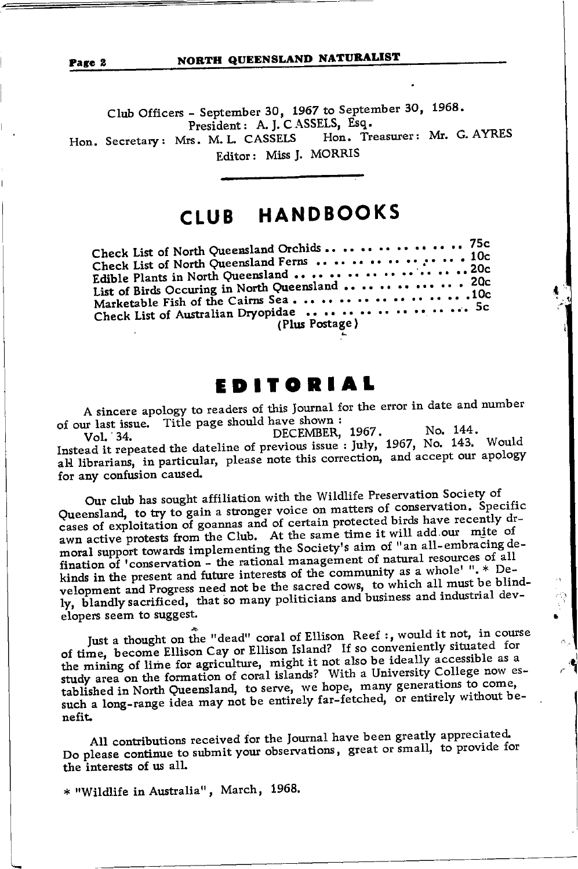#### NORTH QUEENSLAND NATURALIST

Club Officers - September 30, 1967 to September 30, 1968. President: A. J. C ASSELS, Esq. Hon. Treasurer: Mr. G. AYRES Hon. Secretary: Mrs. M. L. CASSELS Editor: Miss J. MORRIS

## CLUB HANDBOOKS

| Check List of North Queensland Ferns $\,\ldots\, \ldots\, \ldots\, \ldots\, \ldots\, \ldots\, \ldots\, 10$ c<br>Edible Plants in North Queensland          .20c<br>Marketable Fish of the Cairns Sea.         .10c |  |
|--------------------------------------------------------------------------------------------------------------------------------------------------------------------------------------------------------------------|--|
| Check List of Australian Dryopidae 5c<br>(Plus Postage)                                                                                                                                                            |  |

## EDITORIAL

A sincere apology to readers of this Journal for the error in date and number of our last issue. Title page should have shown:

No. 144. DECEMBER, 1967. Vol. 34. Instead it repeated the dateline of previous issue: July, 1967, No. 143. Would all librarians, in particular, please note this correction, and accept our apology for any confusion caused.

Our club has sought affiliation with the Wildlife Preservation Society of Queensland, to try to gain a stronger voice on matters of conservation. Specific cases of exploitation of goannas and of certain protected birds have recently drawn active protests from the Club. At the same time it will add our mite of moral support towards implementing the Society's aim of "an all-embracing defination of 'conservation - the rational management of natural resources of all kinds in the present and future interests of the community as a whole' ".\* Development and Progress need not be the sacred cows, to which all must be blindly, blandly sacrificed, that so many politicians and business and industrial developers seem to suggest.

Just a thought on the "dead" coral of Ellison Reef:, would it not, in course of time, become Ellison Cay or Ellison Island? If so conveniently situated for the mining of lime for agriculture, might it not also be ideally accessible as a study area on the formation of coral islands? With a University College now established in North Queensland, to serve, we hope, many generations to come, such a long-range idea may not be entirely far-fetched, or entirely without benefit.

All contributions received for the Journal have been greatly appreciated. Do please continue to submit your observations, great or small, to provide for the interests of us all.

\* "Wildlife in Australia", March, 1968.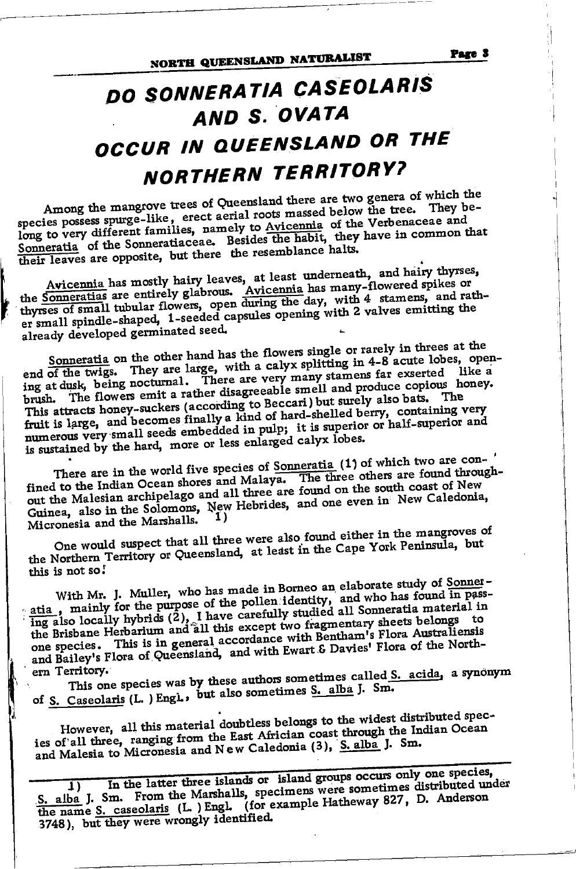## DO SONNERATIA CASEOLARIS AND S. OVATA OCCUR IN QUEENSLAND OR THE **NORTHERN TERRITORY?**

Among the mangrove trees of Queensland there are two genera of which the species possess spurge-like, erect aerial roots massed below the tree. They belong to very different families, namely to Avicennia of the Verbenaceae and Sonneratia of the Sonneratiaceae. Besides the habit, they have in common that their leaves are opposite, but there the resemblance halts.

Avicennia has mostly hairy leaves, at least underneath, and hairy thyrses, the Sonneratias are entirely glabrous. Avicennia has many-flowered spikes or thyrses of small tubular flowers, open during the day, with 4 stamens, er small spindle-shaped, 1-seeded capsules opening with 2 valves emitting the already developed germinated seed.

Sonneratia on the other hand has the flowers single or rarely in threes at the end of the twigs. They are large, with a calyx splitting in 4-8 acute lobes, openend of the twigs. They are rarge, with a cary a spiritung in  $\tau$ -b active roots, opening at dusk, being nocturnal. There are very many stamens far exserted like a brush. The flowers emit a rather disagreeable smell and pr This attracts honey-suckers (according to Beccari) but surely also bats. fruit is large, and becomes finally a kind of hard-shelled berry, containing very numerous very small seeds embedded in pulp; it is superior or half-superior and is sustained by the hard, more or less enlarged calyx lobes.

There are in the world five species of Sonneratia (1) of which two are con-' fined to the Indian Ocean shores and Malaya. The three others are found throughout the Malesian archipelago and all three are found on the south coast of New Guinea, also in the Solomons, New Hebrides, and one even in New Caledonia, Micronesia and the Marshalls.

One would suspect that all three were also found either in the mangroves of the Northern Territory or Queensland, at least in the Cape York Peninsula, but this is not so!

With Mr. J. Muller, who has made in Borneo an elaborate study of Sonneratia, mainly for the purpose of the pollen identity, and who has found in passing also locally hybrids (2), I have carefully studied all Sonneratia material in the Brisbane Herbarium and all this except two fragmentary sheets belongs to one species. This is in general accordance with Bentham's Flora Australiensis and Bailey's Flora of Queensland, and with Ewart & Davies' Flora of the Northern Territory.

This one species was by these authors sometimes called S. acida, a synonym of S. Caseolaris (L. ) Engl., but also sometimes S. alba J. Sm.

However, all this material doubtless belongs to the widest distributed species of all three, ranging from the East Africian coast through the Indian Ocean and Malesia to Micronesia and New Caledonia (3), S. alba J. Sm.

In the latter three islands or island groups occurs only one species, S. alba J. Sm. From the Marshalls, specimens were sometimes distributed under<br>the name S. caseolaris (L. ) Engl. (for example Hatheway 827, D. Anderson 3748), but they were wrongly identified.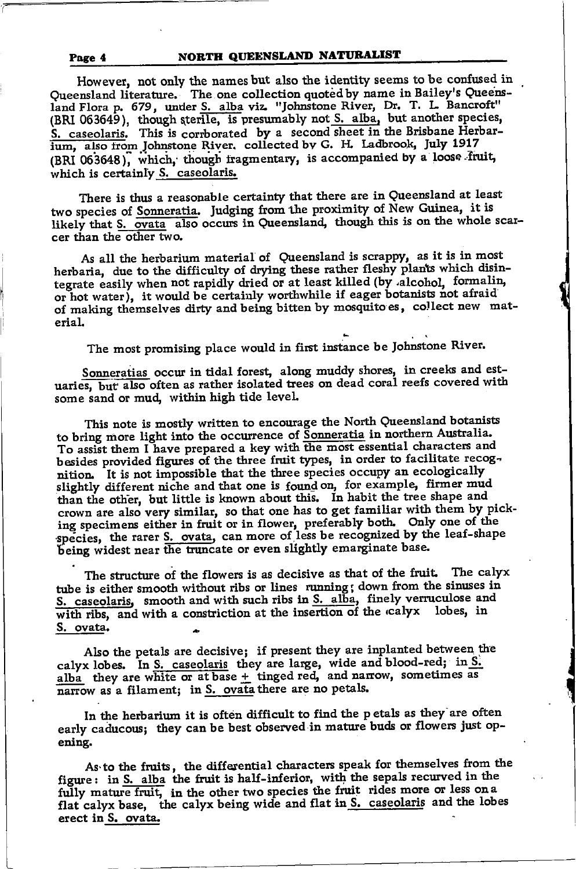#### NORTH QUEENSLAND NATURALIST

However, not only the names but also the identity seems to be confused in Queensland literature. The one collection quoted by name in Bailey's Queensland Flora p. 679, under S. alba viz. "Johnstone River, Dr. T. L. Bancroft" (BRI 063649), though sterile, is presumably not S. alba, but another species, S. caseolaris. This is corrborated by a second sheet in the Brisbane Herbarium, also from Johnstone River. collected by G. H. Ladbrook, July 1917 (BRI 063648), which, though fragmentary, is accompanied by a loose fruit, which is certainly S. caseolaris.

There is thus a reasonable certainty that there are in Queensland at least two species of Sonneratia. Judging from the proximity of New Guinea, it is likely that S. ovata also occurs in Queensland, though this is on the whole scarcer than the other two.

As all the herbarium material of Queensland is scrappy, as it is in most herbaria, due to the difficulty of drying these rather fleshy plants which disintegrate easily when not rapidly dried or at least killed (by alcohol, formalin, or hot water), it would be certainly worthwhile if eager botanists not afraid of making themselves dirty and being bitten by mosquito es, collect new material.

The most promising place would in first instance be Johnstone River.

Sonneratias occur in tidal forest, along muddy shores, in creeks and estuaries, but also often as rather isolated trees on dead coral reefs covered with some sand or mud, within high tide level.

This note is mostly written to encourage the North Queensland botanists to bring more light into the occurrence of Sonneratia in northern Australia. To assist them I have prepared a key with the most essential characters and besides provided figures of the three fruit types, in order to facilitate recognition. It is not impossible that the three species occupy an ecologically slightly different niche and that one is found on, for example, firmer mud than the other, but little is known about this. In habit the tree shape and crown are also very similar, so that one has to get familiar with them by picking specimens either in fruit or in flower, preferably both. Only one of the species, the rarer S. ovata, can more of less be recognized by the leaf-shape being widest near the truncate or even slightly emarginate base.

The structure of the flowers is as decisive as that of the fruit. The calyx tube is either smooth without ribs or lines running; down from the sinuses in S. caseolaris, smooth and with such ribs in S. alba, finely verruculose and with ribs, and with a constriction at the insertion of the calyx lobes, in S. ovata.

Also the petals are decisive; if present they are inplanted between the calyx lobes. In S. caseolaris they are large, wide and blood-red; in S. alba they are white or at base  $+$  tinged red, and narrow, sometimes as narrow as a filament; in S. ovata there are no petals.

In the herbarium it is often difficult to find the petals as they are often early caducous; they can be best observed in mature buds or flowers just opening.

As to the fruits, the differential characters speak for themselves from the figure: in S. alba the fruit is half-inferior, with the sepals recurved in the fully mature fruit, in the other two species the fruit rides more or less on a flat calyx base, the calyx being wide and flat in S. caseolaris and the lobes erect in S. ovata.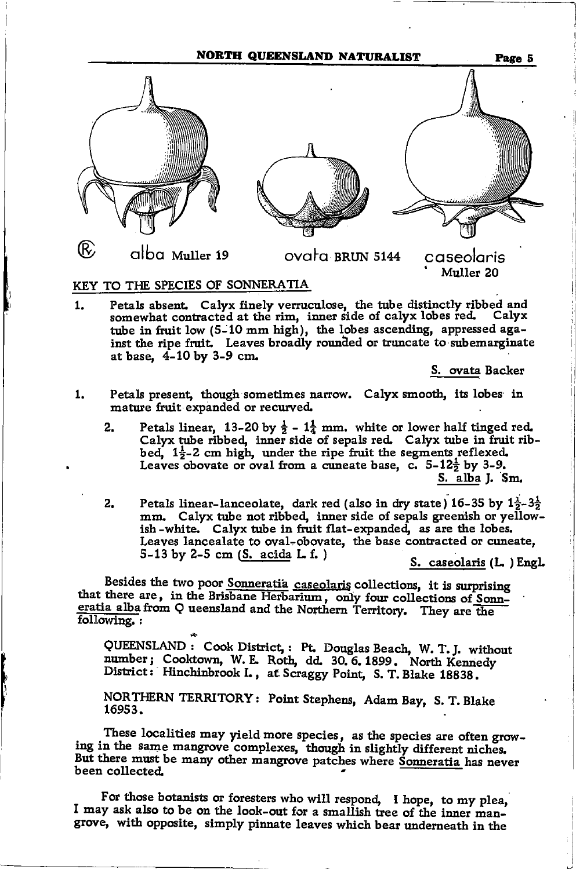NORTH QUEENSLAND NATURALIST



#### KEY TO THE SPECIES OF SONNERATIA

Petals absent. Calyx finely verruculose, the tube distinctly ribbed and 1. somewhat contracted at the rim, inner side of calyx lobes red. Calyx tube in fruit low (5-10 mm high), the lobes ascending, appressed against the ripe fruit. Leaves broadly rounded or truncate to subemarginate at base, 4-10 by 3-9 cm.

S. ovata Backer

- Petals present, though sometimes narrow. Calyx smooth, its lobes in 1. mature fruit expanded or recurved.
	- Petals linear, 13-20 by  $\frac{1}{2}$   $1\frac{1}{4}$  mm, white or lower half tinged red.  $2.$ Calyx tube ribbed, inner side of sepals red. Calyx tube in fruit ribbed,  $1\frac{1}{2}$ -2 cm high, under the ripe fruit the segments reflexed. Leaves obovate or oval from a cuneate base, c.  $5-12\frac{1}{2}$  by 3-9. S. alba J. Sm.
	- Petals linear-lanceolate, dark red (also in dry state) 16-35 by  $1\frac{1}{2}$ -3 $\frac{1}{2}$  $2.$ mm. Calyx tube not ribbed, inner side of sepals greenish or yellowish-white. Calyx tube in fruit flat-expanded, as are the lobes. Leaves lancealate to oval-obovate, the base contracted or cuneate, 5-13 by 2-5 cm  $(S. \text{acida L.f.})$

S. caseolaris (L.) Engl.

Besides the two poor Sonneratia caseolaris collections, it is surprising that there are, in the Brisbane Herbarium, only four collections of Sonneratia alba from Q ueensland and the Northern Territory. They are the following.:

QUEENSLAND : Cook District, : Pt. Douglas Beach, W. T. J. without number; Cooktown, W. E. Roth, dd. 30. 6. 1899. North Kennedy District: Hinchinbrook I., at Scraggy Point, S. T. Blake 18838.

NORTHERN TERRITORY: Point Stephens, Adam Bay, S. T. Blake 16953.

These localities may yield more species, as the species are often growing in the same mangrove complexes, though in slightly different niches. But there must be many other mangrove patches where Sonneratia has never been collected.

For those botanists or foresters who will respond, I hope, to my plea, I may ask also to be on the look-out for a smallish tree of the inner mangrove, with opposite, simply pinnate leaves which bear underneath in the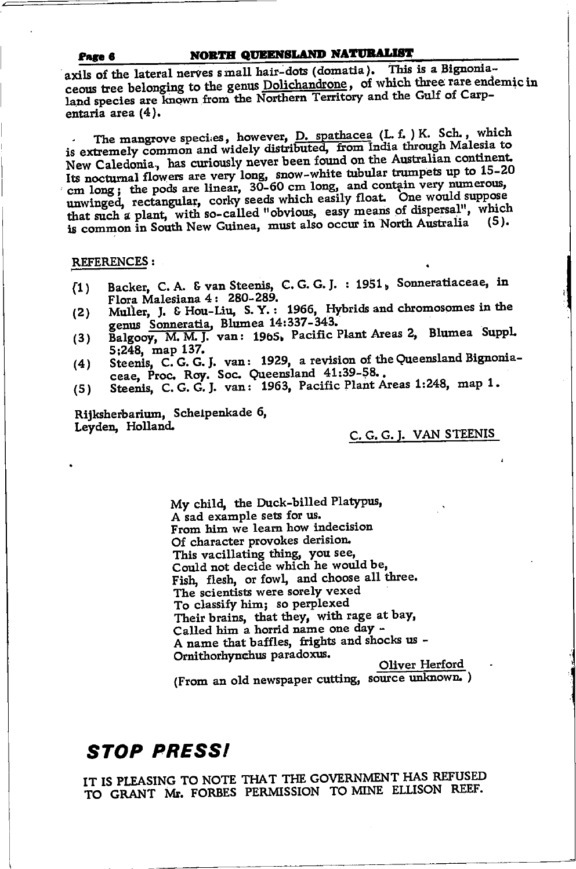#### NORTH QUEENSLAND NATURALIST Page 6

axils of the lateral nerves small hair-dots (domatia). This is a Bignoniaceous tree belonging to the genus Dolichandrone, of which three rare endemic in land species are known from the Northern Territory and the Gulf of Carpentaria area (4).

The mangrove species, however, D. spathacea (L. f. ) K. Sch., which is extremely common and widely distributed, from India through Malesia to New Caledonia, has curiously never been found on the Australian continent. Its nocturnal flowers are very long, snow-white tubular trumpets up to 15-20 cm long; the pods are linear, 30-60 cm long, and contain very numerous, unwinged, rectangular, corky seeds which easily float. One would suppose that such a plant, with so-called "obvious, easy means of dispersal", which is common in South New Guinea, must also occur in North Australia (5).

#### **REFERENCES:**

- Backer, C. A. & van Steenis, C. G. G. J. : 1951, Sonneratiaceae, in  $(1)$ Flora Malesiana 4: 280-289.
- Muller, J. & Hou-Liu, S. Y.: 1966, Hybrids and chromosomes in the  $(2)$ genus Sonneratia, Blumea 14:337-343.<br>Balgooy, M. M. J. van: 1965, Pacific Plant Areas 2, Blumea Suppl.
- $(3)$ 5;248, map 137.
- Steenis, C. G. G. J. van: 1929, a revision of the Queensland Bignonia- $(4)$ ceae, Proc. Roy. Soc. Queensland 41:39-58..
- Steenis, C. G. G. J. van: 1963, Pacific Plant Areas 1:248, map 1.  $(5)$

Rijksherbarium, Scheipenkade 6. Leyden, Holland.

#### C. G. G. J. VAN STEENIS

My child, the Duck-billed Platypus. A sad example sets for us. From him we learn how indecision Of character provokes derision. This vacillating thing, you see, Could not decide which he would be, Fish, flesh, or fowl, and choose all three. The scientists were sorely vexed To classify him; so perplexed Their brains, that they, with rage at bay, Called him a horrid name one day -A name that baffles, frights and shocks us -Ornithorhynchus paradoxus. Oliver Herford

(From an old newspaper cutting, source unknown.)

## **STOP PRESSI**

IT IS PLEASING TO NOTE THAT THE GOVERNMENT HAS REFUSED TO GRANT Mr. FORBES PERMISSION TO MINE ELLISON REEF.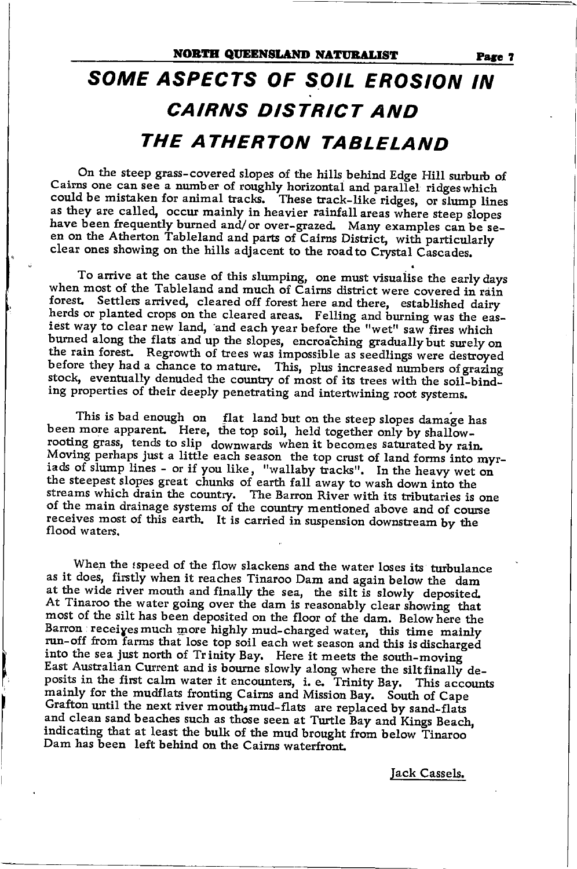## SOME ASPECTS OF SOIL EROSION IN **CAIRNS DISTRICT AND** THE ATHERTON TABLELAND

On the steep grass-covered slopes of the hills behind Edge Hill surburb of Cairns one can see a number of roughly horizontal and parallel ridges which could be mistaken for animal tracks. These track-like ridges, or slump lines as they are called, occur mainly in heavier rainfall areas where steep slopes have been frequently burned and/ or over-grazed. Many examples can be seen on the Atherton Tableland and parts of Cairns District, with particularly clear ones showing on the hills adjacent to the road to Crystal Cascades.

To arrive at the cause of this slumping, one must visualise the early days when most of the Tableland and much of Cairns district were covered in rain forest. Settlers arrived, cleared off forest here and there, established dairy herds or planted crops on the cleared areas. Felling and burning was the easiest way to clear new land, and each year before the "wet" saw fires which burned along the flats and up the slopes, encroaching gradually but surely on the rain forest. Regrowth of trees was impossible as seedlings were destroyed before they had a chance to mature. This, plus increased numbers of grazing stock, eventually denuded the country of most of its trees with the soil-binding properties of their deeply penetrating and intertwining root systems.

This is bad enough on flat land but on the steep slopes damage has been more apparent. Here, the top soil, held together only by shallowrooting grass, tends to slip downwards when it becomes saturated by rain. Moving perhaps just a little each season the top crust of land forms into myriads of slump lines - or if you like, "wallaby tracks". In the heavy wet on the steepest slopes great chunks of earth fall away to wash down into the streams which drain the country. The Barron River with its tributaries is one of the main drainage systems of the country mentioned above and of course receives most of this earth. It is carried in suspension downstream by the flood waters.

When the ispeed of the flow slackens and the water loses its turbulance as it does, firstly when it reaches Tinaroo Dam and again below the dam at the wide river mouth and finally the sea, the silt is slowly deposited. At Tinaroo the water going over the dam is reasonably clear showing that most of the silt has been deposited on the floor of the dam. Below here the Barron receives much more highly mud-charged water, this time mainly run-off from farms that lose top soil each wet season and this is discharged into the sea just north of Trinity Bay. Here it meets the south-moving East Australian Current and is bourne slowly along where the silt finally deposits in the first calm water it encounters, i. e. Trinity Bay. This accounts mainly for the mudflats fronting Cairns and Mission Bay. South of Cape Grafton until the next river mouth, mud-flats are replaced by sand-flats and clean sand beaches such as those seen at Turtle Bay and Kings Beach, indicating that at least the bulk of the mud brought from below Tinaroo Dam has been left behind on the Cairns waterfront.

Jack Cassels.